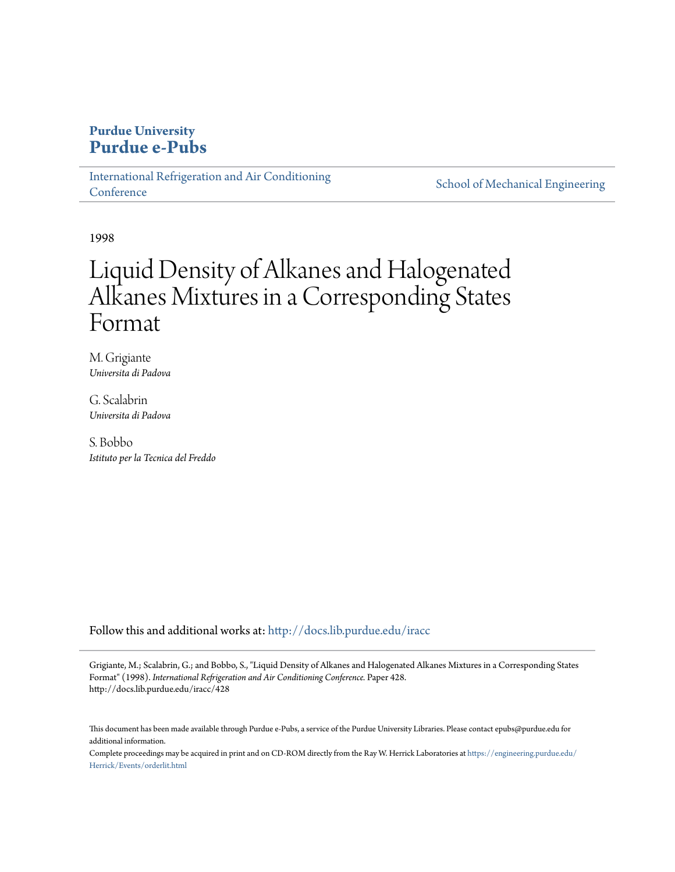# **Purdue University [Purdue e-Pubs](http://docs.lib.purdue.edu?utm_source=docs.lib.purdue.edu%2Firacc%2F428&utm_medium=PDF&utm_campaign=PDFCoverPages)**

[International Refrigeration and Air Conditioning](http://docs.lib.purdue.edu/iracc?utm_source=docs.lib.purdue.edu%2Firacc%2F428&utm_medium=PDF&utm_campaign=PDFCoverPages) **[Conference](http://docs.lib.purdue.edu/iracc?utm_source=docs.lib.purdue.edu%2Firacc%2F428&utm_medium=PDF&utm_campaign=PDFCoverPages)** 

[School of Mechanical Engineering](http://docs.lib.purdue.edu/me?utm_source=docs.lib.purdue.edu%2Firacc%2F428&utm_medium=PDF&utm_campaign=PDFCoverPages)

1998

# Liquid Density of Alkanes and Halogenated Alkanes Mixtures in a Corresponding States Format

M. Grigiante *Universita di Padova*

G. Scalabrin *Universita di Padova*

S. Bobbo *Istituto per la Tecnica del Freddo*

Follow this and additional works at: [http://docs.lib.purdue.edu/iracc](http://docs.lib.purdue.edu/iracc?utm_source=docs.lib.purdue.edu%2Firacc%2F428&utm_medium=PDF&utm_campaign=PDFCoverPages)

Grigiante, M.; Scalabrin, G.; and Bobbo, S., "Liquid Density of Alkanes and Halogenated Alkanes Mixtures in a Corresponding States Format" (1998). *International Refrigeration and Air Conditioning Conference.* Paper 428. http://docs.lib.purdue.edu/iracc/428

This document has been made available through Purdue e-Pubs, a service of the Purdue University Libraries. Please contact epubs@purdue.edu for additional information.

Complete proceedings may be acquired in print and on CD-ROM directly from the Ray W. Herrick Laboratories at [https://engineering.purdue.edu/](https://engineering.purdue.edu/Herrick/Events/orderlit.html) [Herrick/Events/orderlit.html](https://engineering.purdue.edu/Herrick/Events/orderlit.html)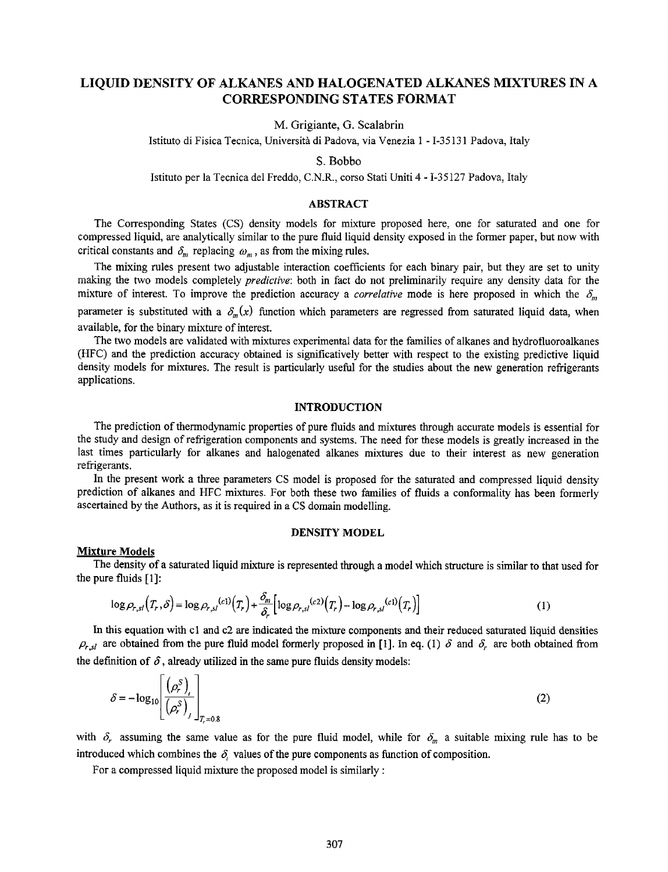# LIQUID DENSITY OF ALKANES AND HALOGENATED ALKANES MIXTURES IN A CORRESPONDING STATES FORMAT

M. Grigiante, G. Scalabrin

Istituto di Fisica Tecnica, Universita di Padova, via Venezia I - I-3513I Padova, Italy

S. Bobbo

Jstituto per Ia Tecnica del Freddo, C.N.R., corso Stati Uniti 4- I-35127 Padova, Italy

## ABSTRACT

The Corresponding States (CS) density models for mixture proposed here, one for saturated and one for compressed liquid, are analytically similar to the pure fluid liquid density exposed in the former paper, but now with critical constants and  $\delta_m$  replacing  $\omega_m$ , as from the mixing rules.

The mixing rules present two adjustable interaction coefficients for each binary pair, but they are set to unity making the two models completely *predictive:* both in fact do not preliminarily require any density data for the mixture of interest. To improve the prediction accuracy a *correlative* mode is here proposed in which the  $\delta_m$ parameter is substituted with a  $\delta_m(x)$  function which parameters are regressed from saturated liquid data, when available, for the binary mixture of interest.

The two models are validated with mixtures experimental data for the families of alkanes and hydrofluoroalkanes (HFC) and the prediction accuracy obtained is significatively better with respect to the existing predictive liquid density models for mixtures. The result is particularly useful for the studies about the new generation refrigerants applications.

#### INTRODUCTION

The prediction of thermodynamic properties of pure fluids and mixtures through accurate models is essential for the study and design of refrigeration components and systems. The need for these models is greatly increased in the last times particularly for alkanes and halogenated alkanes mixtures due to their interest as new generation refrigerants.

In the present work a three parameters CS model is proposed for the saturated and compressed liquid density prediction of alkanes and HFC mixtures. For both these two families of fluids a conformality has been formerly ascertained by the Authors, as it is required in a CS domain modelling.

#### DENSITY MODEL

#### **Mixture Models**

The density of a saturated liquid mixture is represented through a model which structure is similar to that used for the pure fluids [ l]:

$$
\log \rho_{r,s} \left( T_r, \delta \right) = \log \rho_{r,s} \left( c_1 \right) \left( T_r \right) + \frac{\delta_m}{\delta_r} \left[ \log \rho_{r,s} \left( c_2 \right) \left( T_r \right) - \log \rho_{r,s} \left( c_1 \right) \left( T_r \right) \right] \tag{1}
$$

In this equation with cl and c2 are indicated the mixture components and their reduced saturated liquid densities  $P_{r,sl}$  are obtained from the pure fluid model formerly proposed in [1]. In eq. (1)  $\delta$  and  $\delta_r$  are both obtained from

the definition of 
$$
\delta
$$
, already utilized in the same pure fluids density models:  
\n
$$
\delta = -\log_{10}\left[\frac{\left(\rho_r^S\right)_l}{\left(\rho_r^S\right)_j}\right]_{T_r=0.8}
$$
\n(2)

with  $\delta_r$  assuming the same value as for the pure fluid model, while for  $\delta_m$  a suitable mixing rule has to be introduced which combines the  $\delta$ , values of the pure components as function of composition.

For a compressed liquid mixture the proposed model is similarly :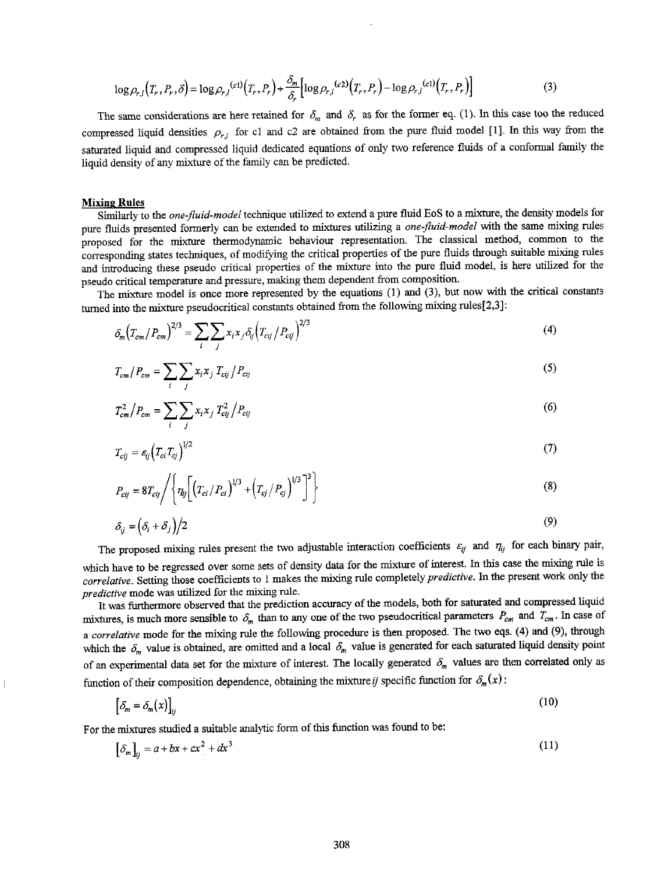$$
\log \rho_{r,l}(T_r, P_r, \delta) = \log \rho_{r,l}^{(c1)}(T_r, P_r) + \frac{\delta_m}{\delta_r} \Big[ \log \rho_{r,l}^{(c2)}(T_r, P_r) - \log \rho_{r,l}^{(c1)}(T_r, P_r) \Big]
$$
(3)

The same considerations are here retained for  $\delta_m$  and  $\delta_r$  as for the former eq. (1). In this case too the reduced compressed liquid densities  $\rho_{r,l}$  for c1 and c2 are obtained from the pure fluid model [1]. In this way from the saturated liquid and compressed liquid dedicated equations of only two reference fluids of a conformal family the liquid density of any mixture of the family can be predicted.

#### **Mixing Rules**

Similarly to the *one-fluid-model* technique utilized to extend a pure fluid EoS to a mixture, the density models for pure fluids presented formerly can be extended to mixtures utilizing a *one-fluid-model* with the same mixing rules proposed for the mixture thermodynamic behaviour representation. The classical method, common to the corresponding states techniques, of modifying the critical properties of the pure fluids through suitable mixing rules and introducing these pseudo critical properties of the mixture into the pure fluid model, is here utilized for the pseudo critical temperature and pressure, making them dependent from composition.

The mixture model is once more represented by the equations (1) and (3), but now with the critical constants turned into the mixture pseudocritical constants obtained from the following mixing rules[2,3]:

$$
\delta_m (T_{cm}/P_{cm})^{2/3} = \sum_i \sum_j x_i x_j \delta_{ij} (T_{cij}/P_{cij})^{2/3}
$$
 (4)

$$
T_{cm}/P_{cm} = \sum_{i} \sum_{j} x_i x_j T_{cij} / P_{cij}
$$
\n
$$
\tag{5}
$$

$$
T_{cm}^2/P_{cm} = \sum_i \sum_j x_i x_j T_{cj}^2/P_{cj}
$$
 (6)

$$
T_{cij} = \varepsilon_{ij} \left( T_{ci} T_{cj} \right)^{1/2} \tag{7}
$$

$$
P_{cij} = 8T_{cij} \left/ \left\{ \eta_{ij} \left[ \left( T_{ci} / P_{ci} \right)^{1/3} + \left( T_{cj} / P_{cj} \right)^{1/3} \right]^3 \right\} \tag{8}
$$

$$
\delta_{ij} = \left(\delta_i + \delta_j\right)/2\tag{9}
$$

The proposed mixing rules present the two adjustable interaction coefficients  $\varepsilon_{ij}$  and  $\eta_{ij}$  for each binary pair, which have to be regressed over some sets of density data for the mixture of interest. In this case the mixing rule is *correlative.* Setting those coefficients to 1 makes the mixing rule completely *predictive.* In the present work only the *predictive* mode was utilized for the mixing rule.

It was furthermore observed that the prediction accuracy of the models, both for saturated and compressed liquid mixtures, is much more sensible to  $\delta_m$  than to any one of the two pseudocritical parameters  $P_{cm}$  and  $T_{cm}$ . In case of <sup>a</sup>*correlative* mode for the mixing rule the following procedure is then proposed. The two eqs. (4) and (9), through which the  $\delta_m$  value is obtained, are omitted and a local  $\delta_m$  value is generated for each saturated liquid density point of an experimental data set for the mixture of interest. The locally generated  $\delta_m$  values are then correlated only as function of their composition dependence, obtaining the mixture *ij* specific function for  $\delta_m(x)$ :

$$
\left[\delta_m = \delta_m(x)\right]_{ij} \tag{10}
$$

For the mixtures studied a suitable analytic form of this function was found to be:

$$
\left[\delta_m\right]_{ij} = a + bx + cx^2 + dx^3\tag{11}
$$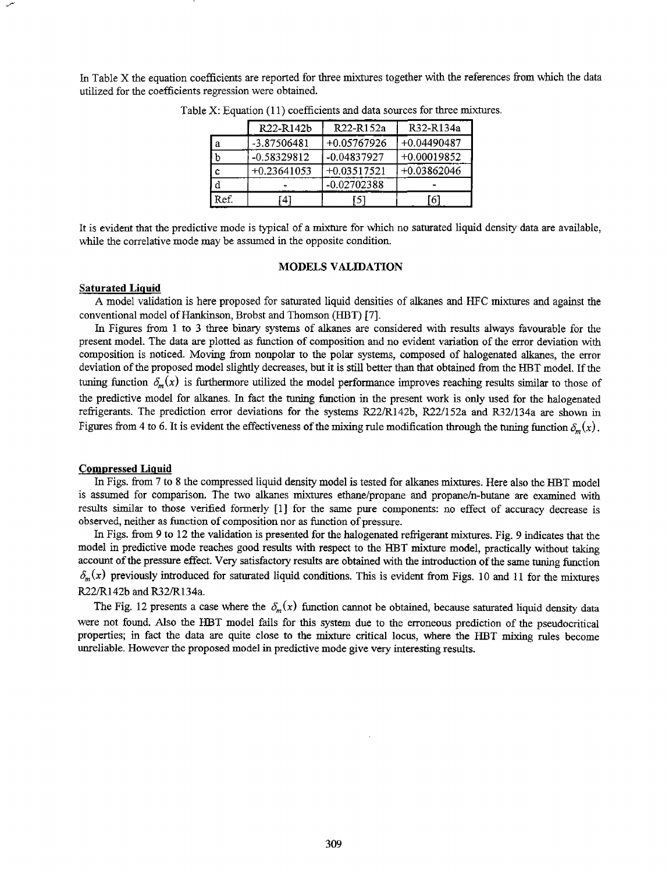In Table X the equation coefficients are reported for three mixtures together with the references from which the data utilized for the coefficients regression were obtained.

|      | R <sub>22</sub> -R <sub>142</sub> b | R22-R152a     | R32-R134a     |
|------|-------------------------------------|---------------|---------------|
| a    | -3.87506481                         | $+0.05767926$ | $+0.04490487$ |
|      | $-0.58329812$                       | $-0.04837927$ | $+0.00019852$ |
| Ċ    | $+0.23641053$                       | $+0.03517521$ | $+0.03862046$ |
| d    |                                     | -0.02702388   |               |
| Ref. | 41                                  | 15            | -6            |

Table X: Equation (11) coefficients and data sources for three mixtures.

It is evident that the predictive mode is typical of a mixture for which no saturated liquid density data are available, while the correlative mode may be assumed in the opposite condition.

#### MODELS VALIDATION

#### Saturated Liquid

A model validation is here proposed for saturated liquid densities of alkanes and HFC mixtures and against the conventional model of Hankinson, Brobst and Thomson (HBT) [7].

In Figures from 1 to 3 three binary systems of alkanes are considered with results always favourable for the present model. The data are plotted as function of composition and no evident variation of the error deviation with composition is noticed. Moving from nonpolar to the polar systems, composed of halogenated alkanes, the error deviation of the proposed model slightly decreases, but it is still better than that obtained from the HBT model. If the tuning function  $\delta_m(x)$  is furthermore utilized the model performance improves reaching results similar to those of the predictive model for alkanes. In fact the tuning function in the present work is only used for the halogenated refrigerants. The prediction error deviations for the systems R22/R142b, R22/152a and R32/134a are shown in Figures from 4 to 6. It is evident the effectiveness of the mixing rule modification through the tuning function  $\delta_m(x)$ .

#### Compressed Liquid

In Figs. from 7 to 8 the compressed liquid density model is tested for alkanes mixtures. Here also the HBT model is assumed for comparison. The two alkanes mixtures ethane/propane and propane/n-butane are examined with results similar to those verified formerly [ 1] for the same pure components: no effect of accuracy decrease is observed, neither as function of composition nor as function of pressure.

In Figs. from 9 to 12 the validation is presented for the halogenated refrigerant mixtures. Fig. 9 indicates that the model in predictive mode reaches good results with respect to the HBT mixture model, practically without taking account of the pressure effect. Very satisfactory results are obtained with the introduction of the same tuning function  $\delta_m(x)$  previously introduced for saturated liquid conditions. This is evident from Figs. 10 and 11 for the mixtures R22/Rl42b and R32/R134a.

The Fig. 12 presents a case where the  $\delta_m(x)$  function cannot be obtained, because saturated liquid density data were not found. Also the HBT model fails for this system due to the erroneous prediction of the pseudocritical properties; in fact the data are quite close to the mixture critical locus, where the HBT mixing rules become unreliable. However the proposed model in predictive mode give very interesting results.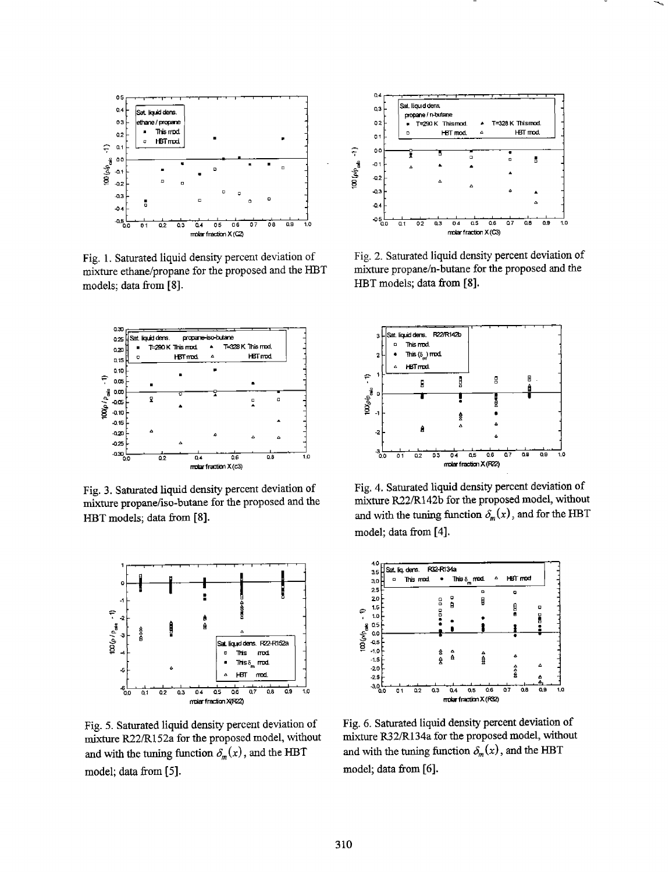

Fig. 1. Saturated liquid density percent deviation of mixture ethane/propane for the proposed and the HBT models; data from [8].



Fig. 3. Saturated liquid density percent deviation of mixture propane/iso-butane for the proposed and the HBT models; data from [8].



Fig. 5. Saturated liquid density percent deviation of mixture R22/R152a for the proposed model, without and with the tuning function  $\delta_m(x)$ , and the HBT model; data from [5].



Fig. 2. Saturated liquid density percent deviation of mixture propane/n-butane for the proposed and the HBT models; data from [8].



Fig. 4. Saturated liquid density percent deviation of mixture R22/R142b for the proposed model, without and with the tuning function  $\delta_m(x)$ , and for the HBT model; data from [4].



Fig. 6. Saturated liquid density percent deviation of mixture R32/R134a for the proposed model, without and with the tuning function  $\delta_m(x)$ , and the HBT model; data from [6].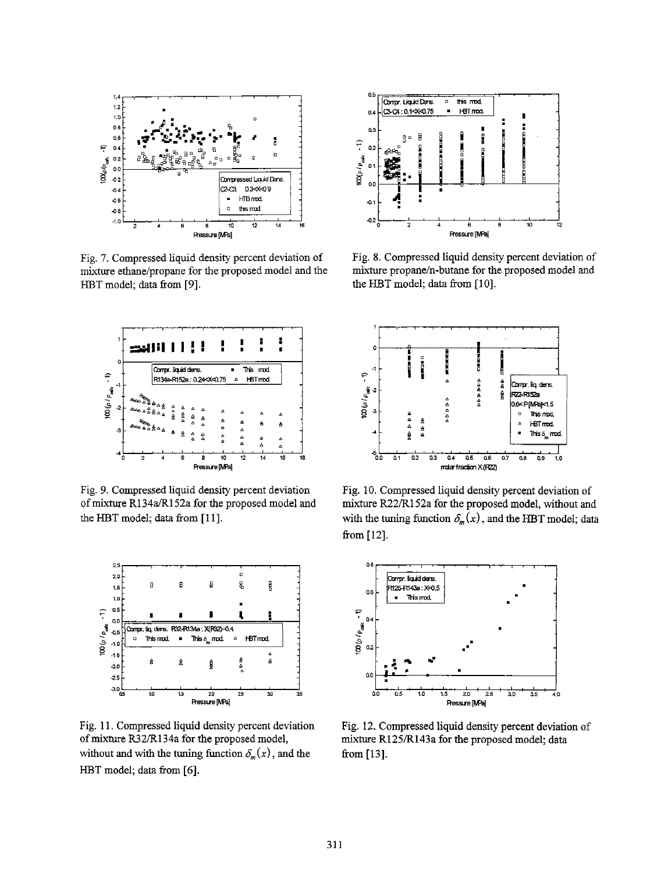

Fig. 7. Compressed liquid density percent deviation of mixture ethane/propane for the proposed model and the HBT model; data from [9].



Fig. 9. Compressed liquid density percent deviation of mixture R134a/R152a for the proposed model and the HBT model; data from [11].



Fig. 11. Compressed liquid density percent deviation of mixture R32/R134a for the proposed model, without and with the tuning function  $\delta_m(x)$ , and the HBT model; data from [6].



Fig. 8. Compressed liquid density percent deviation of mixture propane/n-butane for the proposed model and the HBT model; data from [10].



Fig. 10. Compressed liquid density percent deviation of mixture R22/R152a for the proposed model, without and with the tuning function  $\delta_m(x)$ , and the HBT model; data from [12].



Fig. 12. Compressed liquid density percent deviation of mixture R125/R143a for the proposed model; data from  $[13]$ .